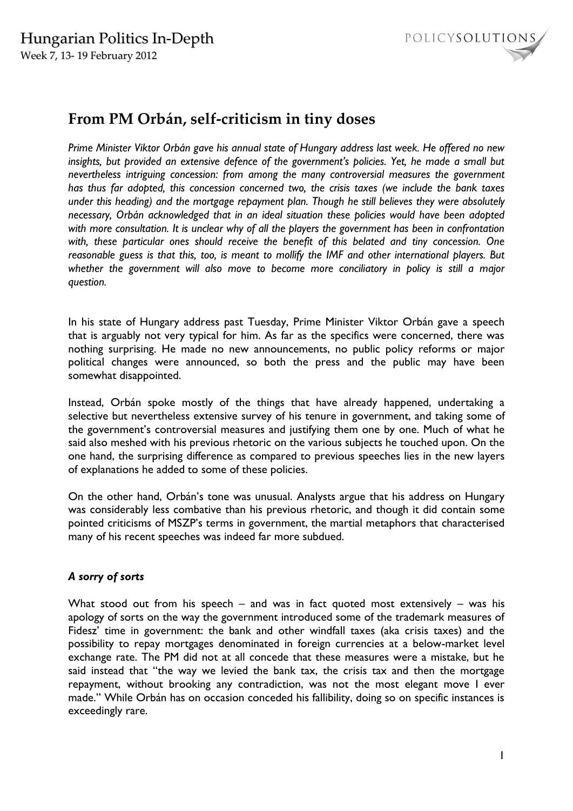

# **From PM Orbán, self-criticism in tiny doses**

*Prime Minister Viktor Orbán gave his annual state of Hungary address last week. He offered no new insights, but provided an extensive defence of the government's policies. Yet, he made a small but nevertheless intriguing concession: from among the many controversial measures the government has thus far adopted, this concession concerned two, the crisis taxes (we include the bank taxes under this heading) and the mortgage repayment plan. Though he still believes they were absolutely necessary, Orbán acknowledged that in an ideal situation these policies would have been adopted with more consultation. It is unclear why of all the players the government has been in confrontation with, these particular ones should receive the benefit of this belated and tiny concession. One reasonable guess is that this, too, is meant to mollify the IMF and other international players. But whether the government will also move to become more conciliatory in policy is still a major question.* 

In his state of Hungary address past Tuesday, Prime Minister Viktor Orbán gave a speech that is arguably not very typical for him. As far as the specifics were concerned, there was nothing surprising. He made no new announcements, no public policy reforms or major political changes were announced, so both the press and the public may have been somewhat disappointed.

Instead, Orbán spoke mostly of the things that have already happened, undertaking a selective but nevertheless extensive survey of his tenure in government, and taking some of the government's controversial measures and justifying them one by one. Much of what he said also meshed with his previous rhetoric on the various subjects he touched upon. On the one hand, the surprising difference as compared to previous speeches lies in the new layers of explanations he added to some of these policies.

On the other hand, Orbán's tone was unusual. Analysts argue that his address on Hungary was considerably less combative than his previous rhetoric, and though it did contain some pointed criticisms of MSZP's terms in government, the martial metaphors that characterised many of his recent speeches was indeed far more subdued.

# *A sorry of sorts*

What stood out from his speech – and was in fact quoted most extensively – was his apology of sorts on the way the government introduced some of the trademark measures of Fidesz' time in government: the bank and other windfall taxes (aka crisis taxes) and the possibility to repay mortgages denominated in foreign currencies at a below-market level exchange rate. The PM did not at all concede that these measures were a mistake, but he said instead that "the way we levied the bank tax, the crisis tax and then the mortgage repayment, without brooking any contradiction, was not the most elegant move I ever made." While Orbán has on occasion conceded his fallibility, doing so on specific instances is exceedingly rare.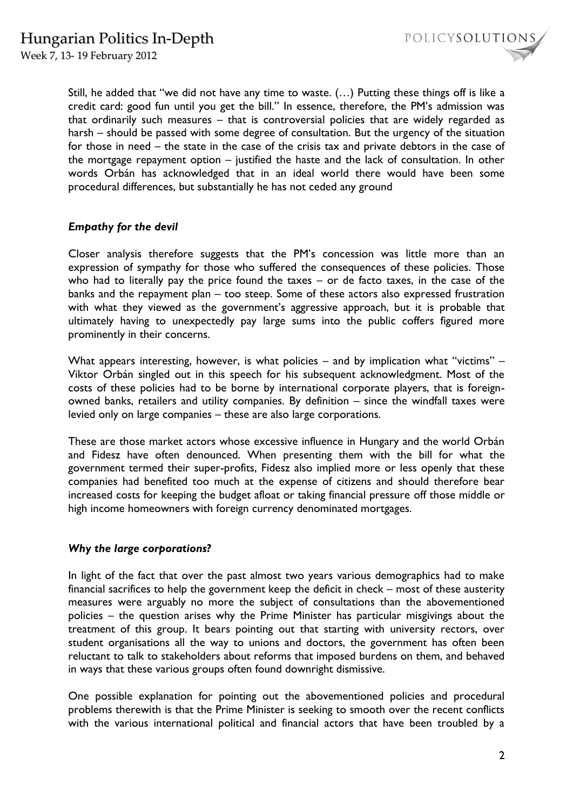Week 7, 13- 19 February 2012



Still, he added that "we did not have any time to waste. (…) Putting these things off is like a credit card: good fun until you get the bill." In essence, therefore, the PM's admission was that ordinarily such measures – that is controversial policies that are widely regarded as harsh – should be passed with some degree of consultation. But the urgency of the situation for those in need – the state in the case of the crisis tax and private debtors in the case of the mortgage repayment option – justified the haste and the lack of consultation. In other words Orbán has acknowledged that in an ideal world there would have been some procedural differences, but substantially he has not ceded any ground

## *Empathy for the devil*

Closer analysis therefore suggests that the PM's concession was little more than an expression of sympathy for those who suffered the consequences of these policies. Those who had to literally pay the price found the taxes – or de facto taxes, in the case of the banks and the repayment plan – too steep. Some of these actors also expressed frustration with what they viewed as the government's aggressive approach, but it is probable that ultimately having to unexpectedly pay large sums into the public coffers figured more prominently in their concerns.

What appears interesting, however, is what policies – and by implication what "victims" – Viktor Orbán singled out in this speech for his subsequent acknowledgment. Most of the costs of these policies had to be borne by international corporate players, that is foreignowned banks, retailers and utility companies. By definition – since the windfall taxes were levied only on large companies – these are also large corporations.

These are those market actors whose excessive influence in Hungary and the world Orbán and Fidesz have often denounced. When presenting them with the bill for what the government termed their super-profits, Fidesz also implied more or less openly that these companies had benefited too much at the expense of citizens and should therefore bear increased costs for keeping the budget afloat or taking financial pressure off those middle or high income homeowners with foreign currency denominated mortgages.

### *Why the large corporations?*

In light of the fact that over the past almost two years various demographics had to make financial sacrifices to help the government keep the deficit in check – most of these austerity measures were arguably no more the subject of consultations than the abovementioned policies – the question arises why the Prime Minister has particular misgivings about the treatment of this group. It bears pointing out that starting with university rectors, over student organisations all the way to unions and doctors, the government has often been reluctant to talk to stakeholders about reforms that imposed burdens on them, and behaved in ways that these various groups often found downright dismissive.

One possible explanation for pointing out the abovementioned policies and procedural problems therewith is that the Prime Minister is seeking to smooth over the recent conflicts with the various international political and financial actors that have been troubled by a